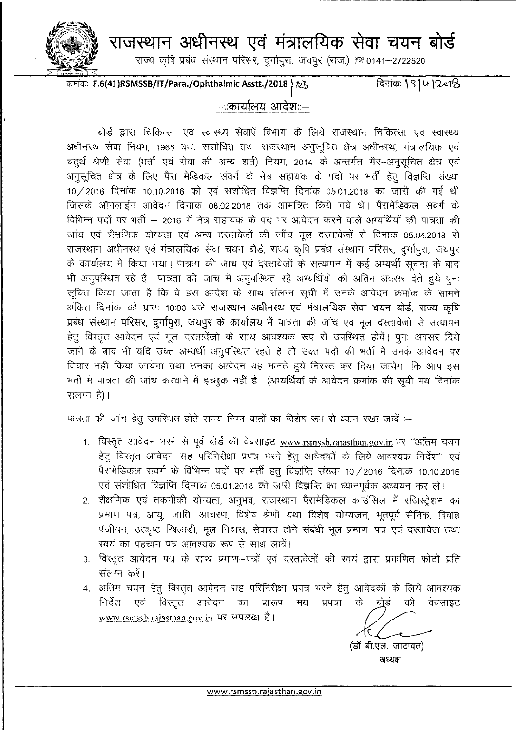

राजस्थान अधीनस्थ एवं मंत्रालयिक सेवा चयन बोर्ड

राज्य कृषि प्रबंध संस्थान परिसर, दुर्गापुरा, जयपुर (राज.) <sup>क्षु</sup> 0141-2722520

क्रमांक: **F.6(41)RSMSSB/IT/Para./Ophthalmic Asstt./2018** |  $\mathcal{X}_5$ 

दिनांकः 131412018

#### --::कार्यालय आदेश::--

बोर्ड द्वारा चिकित्सा एवं स्वास्थ्य सेवाऐं विभाग के लिये राजस्थान चिकित्सा एवं स्वास्थ्य अधीनस्थ सेवा नियम, 1965 यथा संशोधित तथा राजस्थान अनुसूचित क्षेत्र अधीनस्थ, मंत्रालयिक एवं चतुर्थ श्रेणी सेवा (भर्ती एवं सेवा की अन्य शर्ते) नियम, 2014 के अन्तर्गत गैर–अनुसूचित क्षेत्र एवं अनुसूचित क्षेत्र के लिए पैरा मेडिकल संवर्ग के नेत्र सहायक के पदों पर भर्ती हेतु विज्ञप्ति संख्या  $10/2016$  दिनांक 10.10.2016 को एवं संशोधित विज्ञप्ति दिनांक 05.01.2018 का जारी की गई थी जिसके ऑनलाईन आवेदन दिनांक 08.02.2018 तक आमंत्रित किये गये थे। पैरामेडिकल संवर्ग के विभिन्न पदों पर भर्ती – 2016 में नेत्र सहायक के पद पर आवेदन करने वाले अभ्यर्थियों की पात्रता की जांच एवं शैक्षणिक योग्यता एवं अन्य दस्तावेजों की जाँच मूल दस्तावेजों से दिनांक 05.04.2018 से राजस्थान अधीनस्थ एवं मंत्रालयिक सेवा चयन बोर्ड, राज्य कृषि प्रबंध संस्थान परिसर, दुर्गापुरा, जयपुर के कार्यालय में किया गया। पात्रता की जांच एवं दस्तावेजों के सत्यापन में कई अभ्यर्थी सचना के बाद भी अनुपरिथत रहे है। पात्रता की जांच में अनुपरिथत रहे अभ्यर्थियों को अंतिम अवसर देते हुये पुनः सूचित किया जाता है कि वे इस आदेश के साथ संलग्न सूची में उनके आवेदन क्रमांक के सामने अंकित दिनांक को प्रातः 10:00 बजे राजस्थान अधीनस्थ एवं मंत्रालयिक सेवा चयन बोर्ड, राज्य कृषि प्रबंध संस्थान परिसर, दुर्गापुरा, जयपुर के कार्यालय में पात्रता की जांच एवं मूल दस्तावेजों से सत्यापन हेतू विस्तृत आवेदन एवं मूल दस्तावेंजो के साथ आवश्यक रूप से उपस्थित होवें। पूनः अवसर दिये जाने के बाद भी यदि उक्त अभ्यर्थी अनुपरिथत रहते है तो उक्त पदों की भर्ती में उनके आवेदन पर विचार नही किया जायेगा तथा उनका आवेदन यह मानते हुये निरस्त कर दिया जायेगा कि आप इस भर्ती में पात्रता की जांच करवाने में इच्छूक नहीं है। (अभ्यर्थियों के आवेदन क्रमांक की सूची मय दिनांक  $\vec{H}$ लग्न है)।

पात्रता की जांच हेतू उपस्थित होते समय निम्न बातों का विशेष रूप से ध्यान रखा जावें :--

- 1. विस्तृत आवेदन भरने से पूर्व बोर्ड की वेबसाइट [www.rsmssb.rajasthan.gov.in](http://www.rsmssb.rajasthan.gov.in) पर "अंतिम चयन हेत् विस्तृत आवेदन सह परिनिरीक्षा प्रपत्र भरने हेतु आवेदकों के लिये आवश्यक निर्देश'' एवं पैरामेडिकल संवर्ग के विभिन्न पदों पर भर्ती हेतू विज्ञप्ति संख्या 10/2016 दिनांक 10.10.2016 एवं संशोधित विज्ञप्ति दिनांक 05.01.2018 को जारी विज्ञप्ति का ध्यानपूर्वक अध्ययन कर लें।
- 2. शैक्षणिक एवं तकनीकी योग्यता, अनुभव, राजस्थान पैरामेडिकल काउंसिल में रजिस्ट्रेशन का प्रमाण पत्र, आयू, जाति, आचरण, विशेष श्रेणी यथा विशेष योग्यजन, भूतपूर्व सैनिक, विवाह पंजीयन, उत्कृष्ट खिलाडी, मूल निवास, सेवारत होने संबंधी मूल प्रमाण–पत्र एवं दस्तावेज तथा स्वयं का पहचान पत्र आवश्यक रूप से साथ लावें।
- 3. विस्तृत आवेदन पत्र के साथ प्रमाण-पत्रों एवं दस्तावेजों की स्वयं द्वारा प्रमाणित फोटो प्रति संलग्न करें।
- 4. अंतिम चयन हेतु विस्तृत आवेदन सह परिनिरीक्षा प्रपत्र भरने हेतु आवेदकों के लिये आवश्यक निर्देश एवं विस्तुत आवेदन का प्रारूप मय प्रपत्रों के <u>बो</u>र्ड की वेबसाइट [www.rsmssb.rajasthan.gov.in](http://www.rsmssb.rajasthan.gov.in) पर उपलब्ध है।

(डॉ बी.एल. जाटावत)

अध्यक्ष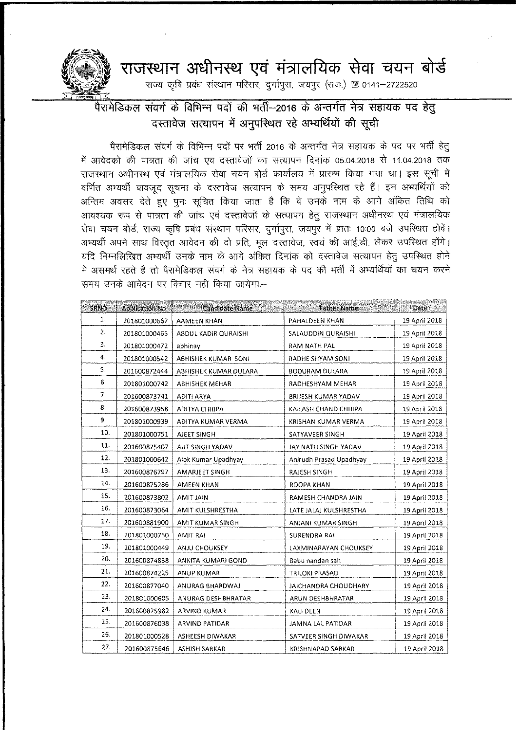## ~ 3l~ ~ **J:j?lI61 <sup>~</sup> Cf) -wrr =q tF"I <sup>~</sup>**

राज्य कृषि प्रबंध संस्थान परिसर, दुर्गापुरा, जयपुर (राज.) ® 0141-2722520



### .<br>पैरामेडिकल संवर्ग के विभिन्न पदों की भर्ती—2016 के अन्तर्गत नेत्र सहायक पद हेतु दस्तावेज सत्यापन में अनुपस्थित रहे अभ्यर्थियों की सूची

पैरामेडिकल संवर्ग के विभिन्न पदों पर भर्ती 2016 के अन्तर्गत नेत्र सहायक के पद पर भर्ती हेतू में आवेदको की पात्रता की जांच एवं दस्तावेजों का सत्यापन दिनांक 05.04.2018 से 11.04.2018 तक राजस्थान अधीनस्थ एवं मंत्रालयिक सेवा चयन बोर्ड कार्यालय में प्रारम्भ किया गया था। इस सूची में वर्णित अभ्यर्थी बावजूद सूचना के दस्तावेज सत्यापन के समय अनुपरिथत रहे हैं। इन अभ्यर्थियों को अन्तिम अवसर देते हुए पुनः सुचित किया जाता है कि वे उनके नाम के आगे अंकित तिथि को आवश्यक रूप से पात्रता की जांच एवं दस्तावेजों के सत्यापन हेतू राजस्थान अधीनस्थ एवं मंत्रालयिक सेवा चयन बोर्ड, राज्य कृषि प्रबंध संस्थान परिसर, दुर्गापुरा, जयपुर में प्रातः 10:00 बजे उपस्थित होवें। अभ्यर्थी अपने साथ विस्तृत आवेदन की दो प्रति, मूल दस्तावेज, स्वयं की आई.डी. लेकर उपस्थित होंगे। यदि निम्नलिखित अभ्यर्थी उनके नाम के आगे अंकित दिनांक को दस्तावेज सत्यापन हेतु उपस्थित होने में असमर्थ रहते है तो पैरामेडिकल संवर्ग के नेत्र सहायक के पद की भर्ती में अभ्यर्थियों का चयन करने समय उनके आवेदन पर विचार नहीं किया जायेगा:—

| SRNO - | <b>Application No</b> | laresiden<br>Saltas ing K<br><b>Candidate Name</b> | <b>Father Name</b>         | Date          |
|--------|-----------------------|----------------------------------------------------|----------------------------|---------------|
| 1.     | 201801000667          | <b>AAMEEN KHAN</b>                                 | PAHALDEEN KHAN             | 19 April 2018 |
| 2.     | 201801000465          | ABDUL KADIR QURAISHI                               | SALAUDDIN QURAISHI         | 19 April 2018 |
| 3.     | 201801000472          | abhinay                                            | RAM NATH PAL               | 19 April 2018 |
| 4.     | 201801000542          | ABHISHEK KUMAR SONI                                | RADHE SHYAM SONI           | 19 April 2018 |
| 5.     | 201600872444          | ABHISHEK KUMAR DULARA                              | <b>BODURAM DULARA</b>      | 19 April 2018 |
| 6.     | 201801000742          | <b>ABHISHEK MEHAR</b>                              | RADHESHYAM MEHAR           | 19 April 2018 |
| 7.     | 201600873741          | ADITI ARYA                                         | <b>BRIJESH KUMAR YADAV</b> | 19 April 2018 |
| 8.     | 201600873958          | ADITYA CHHIPA                                      | KAILASH CHAND CHHIPA       | 19 April 2018 |
| 9.     | 201801000939          | ADITYA KUMAR VERMA                                 | KRISHAN KUMAR VERMA        | 19 April 2018 |
| 10.    | 201801000751          | AJEET SINGH                                        | SATYAVEER SINGH            | 19 April 2018 |
| 11.    | 201600875407          | AIIT SINGH YADAV                                   | JAY NATH SINGH YADAV       | 19 April 2018 |
| 12.    | 201801000642          | Alok Kumar Upadhyay                                | Anirudh Prasad Upadhyay    | 19 April 2018 |
| 13.    | 201600876797          | AMARJEET SINGH                                     | RAJESH SINGH               | 19 April 2018 |
| 14.    | 201600875286          | AMEEN KHAN                                         | ROOPA KHAN                 | 19 April 2018 |
| 15.    | 201600873802          | AMIT JAIN                                          | RAMESH CHANDRA JAIN        | 19 April 2018 |
| 16.    | 201600873064          | AMIT KULSHRESTHA                                   | LATE JALAJ KULSHRESTHA     | 19 April 2018 |
| 17.    | 201600881900          | AMIT KUMAR SINGH                                   | ANJANI KUMAR SINGH         | 19 April 2018 |
| 18.    | 201801000750          | <b>AMIT RAI</b>                                    | SURENDRA RAI               | 19 April 2018 |
| 19.    | 201801000449          | ANJU CHOUKSEY                                      | LAXMINARAYAN CHOUKSEY      | 19 April 2018 |
| 20.    | 201600874838          | ANKITA KUMARI GOND                                 | Babu nandan sah            | 19 April 2018 |
| 21.    | 201600874225          | <b>ANUP KUMAR</b>                                  | TRILOKI PRASAD             | 19 April 2018 |
| 22.    | 201600877040          | ANURAG BHARDWAJ                                    | JAICHANDRA CHOUDHARY       | 19 April 2018 |
| 23.    | 201801000605          | ANURAG DESHBHRATAR                                 | ARUN DESHBHRATAR           | 19 April 2018 |
| 24.    | 201600875982          | ARVIND KUMAR                                       | KALI DEEN                  | 19 April 2018 |
| 25.    | 201600876038          | ARVIND PATIDAR                                     | JAMNA LAL PATIDAR          | 19 April 2018 |
| 26.    | 201801000528          | ASHEESH DIWAKAR                                    | SATVEER SINGH DIWAKAR      | 19 April 2018 |
| 27.    | 201600875646          | <b>ASHISH SARKAR</b>                               | <b>KRISHNAPAD SARKAR</b>   | 19 April 2018 |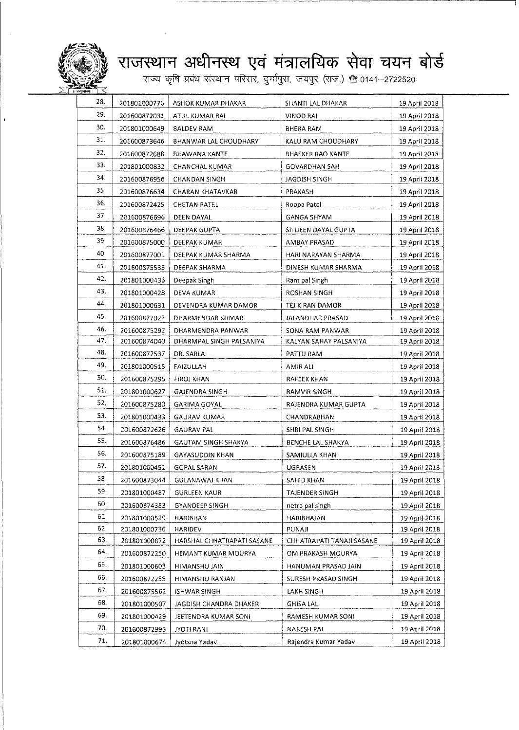

#### . राजस्थान अधीनस्थ एवं मंत्रालयिक सेवा चयन ब

-<br>राज्य कृषि प्रबंध संस्थान परिसर, दुर्गापुरा, जयपुर (राज.) ® 0141–27225

| 28. | 201801000776 | ASHOK KUMAR DHAKAR           | SHANTI LAL DHAKAR         | 19 April 2018 |
|-----|--------------|------------------------------|---------------------------|---------------|
| 29. | 201600872031 | ATUL KUMAR RAI               | VINOD RAI                 | 19 April 2018 |
| 30. | 201801000649 | <b>BALDEV RAM</b>            | BHERA RAM                 | 19 April 2018 |
| 31. | 201600873646 | <b>BHANWAR LAL CHOUDHARY</b> | KALU RAM CHOUDHARY        | 19 April 2018 |
| 32. | 201600872688 | <b>BHAWANA KANTE</b>         | <b>BHASKER RAO KANTE</b>  | 19 April 2018 |
| 33. | 201801000832 | CHANCHAL KUMAR               | <b>GOVARDHAN SAH</b>      | 19 April 2018 |
| 34. | 201600876956 | CHANDAN SINGH                | JAGDISH SINGH             | 19 April 2018 |
| 35. | 201600876634 | CHARAN KHATAVKAR             | PRAKASH                   | 19 April 2018 |
| 36. | 201600872425 | <b>CHETAN PATEL</b>          | Roopa Patel               | 19 April 2018 |
| 37. | 201600876696 | DEEN DAYAL                   | <b>GANGA SHYAM</b>        | 19 April 2018 |
| 38. | 201600876466 | DEEPAK GUPTA                 | Sh DEEN DAYAL GUPTA       | 19 April 2018 |
| 39. | 201600875000 | DEEPAK KUMAR                 | AMBAY PRASAD              | 19 April 2018 |
| 40. | 201600877001 | DEEPAK KUMAR SHARMA          | HARI NARAYAN SHARMA       | 19 April 2018 |
| 41. | 201600875535 | DEEPAK SHARMA                | DINESH KUMAR SHARMA       | 19 April 2018 |
| 42. | 201801000436 | Deepak Singh                 | Ram pal Singh             | 19 April 2018 |
| 43. | 201801000428 | DEVA KUMAR                   | ROSHAN SINGH              | 19 April 2018 |
| 44. | 201801000631 | DEVENDRA KUMAR DAMOR         | TEJ KIRAN DAMOR           | 19 April 2018 |
| 45. | 201600877022 | DHARMENDAR KUMAR             | JALANDHAR PRASAD          | 19 April 2018 |
| 46. | 201600875292 | DHARMENDRA PANWAR            | SONA RAM PANWAR           | 19 April 2018 |
| 47. | 201600874040 | DHARMPAL SINGH PALSANIYA     | KALYAN SAHAY PALSANIYA    | 19 April 2018 |
| 48. | 201600872537 | DR. SARLA                    | PATTU RAM                 | 19 April 2018 |
| 49. | 201801000515 | FAIZULLAH                    | AMIR ALI                  | 19 April 2018 |
| 50. | 201600875295 | <b>FIROJ KHAN</b>            | RAFEEK KHAN               | 19 April 2018 |
| 51. | 201801000627 | <b>GAJENDRA SINGH</b>        | RAMVIR SINGH              | 19 April 2018 |
| 52. | 201600875280 | GARIMA GOYAL                 | RAJENDRA KUMAR GUPTA      | 19 April 2018 |
| 53. | 201801000433 | <b>GAURAV KUMAR</b>          | <b>CHANDRABHAN</b>        | 19 April 2018 |
| 54. | 201600872626 | <b>GAURAV PAL</b>            | SHRI PAL SINGH            | 19 April 2018 |
| 55. | 201600876486 | <b>GAUTAM SINGH SHAKYA</b>   | BENCHE LAL SHAKYA         | 19 April 2018 |
| 56. | 201600875189 | <b>GAYASUDDIN KHAN</b>       | SAMIULLA KHAN             | 19 April 2018 |
| 57. | 201801000451 | <b>GOPAL SARAN</b>           | UGRASEN                   | 19 April 2018 |
| 58. | 201600873044 | <b>GULANAWAJ KHAN</b>        | SAHID KHAN                | 19 April 2018 |
| 59. | 201801000487 | <b>GURLEEN KAUR</b>          | <b>TAJENDER SINGH</b>     | 19 April 2018 |
| 60. | 201600874383 | <b>GYANDEEP SINGH</b>        | netra pai singh           | 19 April 2018 |
| 61. | 201801000529 | HARIBHAN                     | HARIBHAJAN                | 19 April 2018 |
| 62. | 201801000736 | <b>HARIDEV</b>               | PUNAJI                    | 19 April 2018 |
| 63. | 201801000872 | HARSHAL CHHATRAPATI SASANE   | CHHATRAPATI TANAJI SASANE | 19 April 2018 |
| 64. | 201600872250 | HEMANT KUMAR MOURYA          | OM PRAKASH MOURYA         | 19 April 2018 |
| 65. | 201801000603 | HIMANSHU JAIN                | HANUMAN PRASAD JAIN       | 19 April 2018 |
| 66. | 201600872255 | HIMANSHU RANJAN              | SURESH PRASAD SINGH       | 19 April 2018 |
| 67. | 201600875562 | <b>ISHWAR SINGH</b>          | LAKH SINGH                | 19 April 2018 |
| 68. | 201801000507 | JAGDISH CHANDRA DHAKER       | <b>GHISA LAL</b>          | 19 April 2018 |
| 69. | 201801000429 | JEETENDRA KUMAR SONI         | RAMESH KUMAR SONI         | 19 April 2018 |
| 70. | 201600872993 | JYOTI RANI                   | NARESH PAL                | 19 April 2018 |
| 71. | 201801000674 | Jyotsna Yadav                | Rajendra Kumar Yadav      | 19 April 2018 |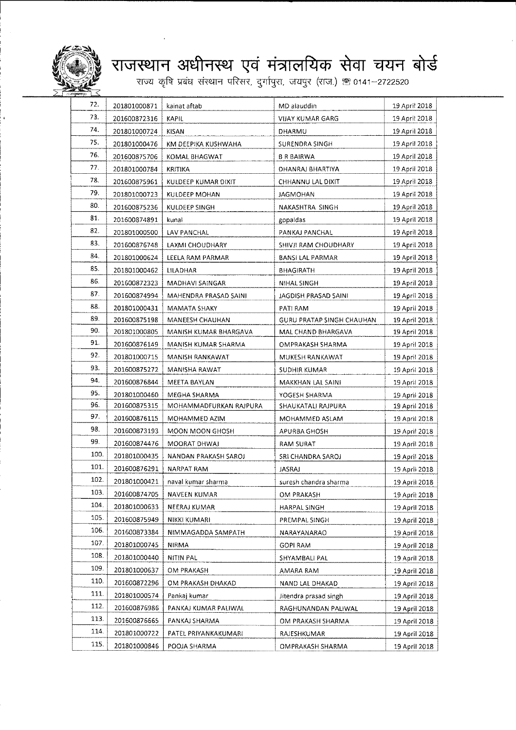

# **la**~3l~~ +i?lI61~Cf) "WIT :qll~ <sup>~</sup> ~~~qm~~,~,~~.) ~ 0141-2722520

| 72.  | 201801000871 | kainat aftab           | MD alauddin               | 19 April 2018  |
|------|--------------|------------------------|---------------------------|----------------|
| 73.  | 201600872316 | <b>KAPIL</b>           | VIJAY KUMAR GARG          | 19 April 2018  |
| 74.  | 201801000724 | KISAN                  | DHARMU                    | 19 April 2018  |
| 75.  | 201801000476 | KM DEEPIKA KUSHWAHA    | <b>SURENDRA SINGH</b>     | 19 April 2018  |
| 76.  | 201600875706 | KOMAL BHAGWAT          | <b>B R BAIRWA</b>         | 19 April 2018  |
| 77.  | 201801000784 | KRITIKA                | DHANRAJ BHARTIYA          | 19 April 2018  |
| 78.  | 201600875961 | KULDEEP KUMAR DIXIT    | CHHANNU LAL DIXIT         | 19 April 2018  |
| 79.  | 201801000723 | KULDEEP MOHAN          | <b>JAGMOHAN</b>           | 19 April 2018  |
| 80.  | 201600875236 | KULDEEP SINGH          | NAKASHTRA SINGH           | 19 April 2018  |
| 81.  | 201600874891 | kunal                  | gopaldas                  | 19 April 2018  |
| 82.  | 201801000500 | LAV PANCHAL            | PANKAJ PANCHAL            | 19 April 2018  |
| 83.  | 201600876748 | LAXMI CHOUDHARY        | SHIVJI RAM CHOUDHARY      | 19 April 2018  |
| 84.  | 201801000624 | LEELA RAM PARMAR       | BANSI LAL PARMAR          | 19 April 2018  |
| 85.  | 201801000462 | LILADHAR               | BHAGIRATH                 | 19 April 2018  |
| 86.  | 201600872323 | MADHAVI SAINGAR        | NIHAL SINGH               | 19 April 2018  |
| 87.  | 201600874994 | MAHENDRA PRASAD SAINI  | JAGDISH PRASAD SAINI      | 19 April 2018  |
| 88.  | 201801000431 | MAMATA SHAKY           | PATI RAM                  | 19 April 2018  |
| 89.  | 201600875198 | MANEESH CHAUHAN        | GURU PRATAP SINGH CHAUHAN | 19 April 2018  |
| 90.  | 201801000805 | MANISH KUMAR BHARGAVA  | MAL CHAND BHARGAVA        | 19 April 2018  |
| 91.  | 201600876149 | MANISH KUMAR SHARMA    | OMPRAKASH SHARMA          | 19 April 2018  |
| 92.  | 201801000715 | MANISH RANKAWAT        | MUKESH RANKAWAT           | 19 April 2018  |
| 93.  | 201600875272 | MANISHA RAWAT          | SUDHIR KUMAR              | 19 April 2018  |
| 94.  | 201600876844 | MEETA BAYLAN           | MAKKHAN LAL SAINI         | 19 April 2018  |
| 95.  | 201801000460 | MEGHA SHARMA           | YOGESH SHARMA             | 19 April 2018  |
| 96.  | 201600875315 | MOHAMMADFURKAN RAJPURA | SHAUKATALI RAJPURA        | 19 April 2018  |
| 97.  | 201600876115 | MOHAMMED AZIM          | MOHAMMED ASLAM            | 19 April 2018  |
| 98.  | 201600873193 | MOON MOON GHOSH        | APURBA GHOSH              | 19 April 2018  |
| 99.  | 201600874476 | MOORAT DHWAJ           | <b>RAM SURAT</b>          | 19 April 2018  |
| 100. | 201801000435 | NANDAN PRAKASH SAROJ   | SRI CHANDRA SAROJ         | 19 April 2018  |
| 101. | 201600876291 | NARPAT RAM             | <b>JASRAJ</b>             | 19 April 2018  |
| 102. | 201801000421 | naval kumar sharma     | suresh chandra sharma     | 19 April 2018  |
| 103. | 201600874705 | NAVEEN KUMAR           | OM PRAKASH                | 19 April 2018  |
| 104. | 201801000633 | NEERAJ KUMAR           | <b>HARPAL SINGH</b>       | 19 April 2018  |
| 105. | 201600875949 | NIKKI KUMARI           | PREMPAL SINGH             | 19 April 2018– |
| 106. | 201600873384 | NIMMAGADDA SAMPATH     | NARAYANARAO               | 19 April 2018  |
| 107. | 201801000745 | NIRMA                  | GOPI RAM                  | 19 April 2018  |
| 108. | 201801000440 | NITIN PAL              | SHYAMBALI PAL             | 19 April 2018  |
| 109. | 201801000637 | OM PRAKASH             | AMARA RAM                 | 19 April 2018  |
| 110. | 201600872296 | OM PRAKASH DHAKAD      | NAND LAL DHAKAD           | 19 April 2018  |
| 111. | 201801000574 | Pankai kumar           | Jitendra prasad singh     | 19 April 2018  |
| 112. | 201600876986 | PANKAJ KUMAR PALIWAL   | RAGHUNANDAN PALIWAL       | 19 April 2018  |
| 113. | 201600876665 | PANKAJ SHARMA          | OM PRAKASH SHARMA         | 19 April 2018  |
| 114  | 201801000722 | PATEL PRIYANKAKUMARI   | RAJESHKUMAR               | 19 April 2018  |
| 115. | 201801000846 | POOJA SHARMA           | OMPRAKASH SHARMA          | 19 April 2018  |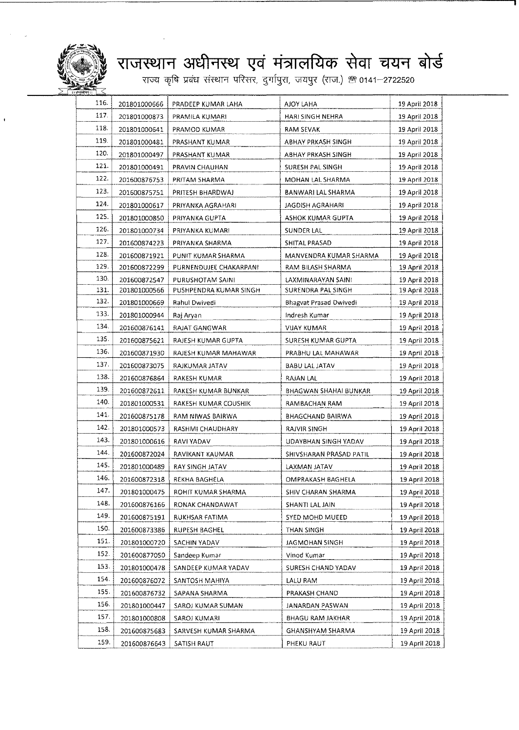

#### . राजस्थान अधीनस्थ एवं मंत्रालयिक सेवा चयन ब

राज्य कृषि प्रबंध संस्थान परिसर, दुर्गापुरा, जयपुर (राज.) ® 0141–272252

| 116. | 201801000666 | PRADEEP KUMAR LAHA     | AJOY LAHA                     | 19 April 2018 |
|------|--------------|------------------------|-------------------------------|---------------|
| 117. | 201801000873 | PRAMILA KUMARI         | HARI SINGH NEHRA              | 19 April 2018 |
| 118. | 201801000641 | PRAMOD KUMAR           | RAM SEVAK                     | 19 April 2018 |
| 119. | 201801000481 | PRASHANT KUMAR         | ABHAY PRKASH SINGH            | 19 April 2018 |
| 120. | 201801000497 | PRASHANT KUMAR         | ABHAY PRKASH SINGH            | 19 April 2018 |
| 121. | 201801000491 | PRAVIN CHAUHAN         | SURESH PAL SINGH              | 19 April 2018 |
| 122. | 201600876753 | PRITAM SHARMA          | MOHAN LAL SHARMA              | 19 April 2018 |
| 123. | 201600875751 | PRITESH BHARDWAJ       | BANWARI LAL SHARMA            | 19 April 2018 |
| 124. | 201801000617 | PRIYANKA AGRAHARI      | <b>JAGDISH AGRAHARI</b>       | 19 April 2018 |
| 125. | 201801000850 | PRIYANKA GUPTA         | ASHOK KUMAR GUPTA             | 19 April 2018 |
| 126. | 201801000734 | PRIYANKA KUMARI        | SUNDER LAL                    | 19 April 2018 |
| 127. | 201600874223 | PRIYANKA SHARMA        | SHITAL PRASAD                 | 19 April 2018 |
| 128. | 201600871921 | PUNIT KUMAR SHARMA     | MANVENDRA KUMAR SHARMA        | 19 April 2018 |
| 129. | 201600872299 | PURNENDUJEE CHAKARPANI | RAM BILASH SHARMA             | 19 April 2018 |
| 130. | 201600872547 | PURUSHOTAM SAINI       | LAXMINARAYAN SAINI            | 19 April 2018 |
| 131. | 201801000566 | PUSHPENDRA KUMAR SINGH | SURENDRA PAL SINGH            | 19 April 2018 |
| 132. | 201801000669 | Rahul Dwivedi          | <b>Bhagvat Prasad Owivedi</b> | 19 April 2018 |
| 133. | 201801000944 | Raj Aryan              | Indresh Kumar                 | 19 April 2018 |
| 134. | 201600876141 | <b>RAJAT GANGWAR</b>   | VIJAY KUMAR                   | 19 April 2018 |
| 135. | 201600875621 | RAJESH KUMAR GUPTA     | SURESH KUMAR GUPTA            | 19 April 2018 |
| 136. | 201600871930 | RAJESH KUMAR MAHAWAR   | PRABHU LAL MAHAWAR            | 19 April 2018 |
| 137. | 201600873075 | RAJKUMAR JATAV         | BABU LAL JATAV                | 19 April 2018 |
| 138. | 201600876864 | RAKESH KUMAR           | RAJAN LAL                     | 19 April 2018 |
| 139. | 201600872611 | RAKESH KUMAR BUNKAR    | BHAGWAN SHAHAI BUNKAR         | 19 April 2018 |
| 140. | 201801000531 | RAKESH KUMAR COUSHIK   | RAMBACHAN RAM-                | 19 April 2018 |
| 141. | 201600875178 | RAM NIWAS BAIRWA       | BHAGCHAND BAIRWA              | 19 April 2018 |
| 142. | 201801000573 | RASHMI CHAUDHARY       | RAJVIR SINGH                  | 19 April 2018 |
| 143. | 201801000616 | RAVI YADAV             | UDAYBHAN SINGH YADAV          | 19 April 2018 |
| 144. | 201600872024 | RAVIKANT KAUMAR        | SHIVSHARAN PRASAD PATIL       | 19 April 2018 |
| 145. | 201801000489 | <b>RAY SINGH JATAV</b> | LAXMAN JATAV                  | 19 April 2018 |
| 146. | 201600872318 | REKHA BAGHELA          | OMPRAKASH BAGHELA             | 19 April 2018 |
| 147. | 201801000475 | ROHIT KUMAR SHARMA     | SHIV CHARAN SHARMA            | 19 April 2018 |
| 148. | 201600876166 | RONAK CHANDAWAT        | SHANTI LAL JAIN               | 19 April 2018 |
| 149. | 201600875191 | RUKHSAR FATIMA         | SYED MOHD MUEED               | 19 April 2018 |
| 150. | 201600873386 | RUPESH BAGHEL          | THAN SINGH                    | 19 April 2018 |
| 151. | 201801000720 | SACHIN YADAV           | JAGMOHAN SINGH                | 19 April 2018 |
| 152. | 201600877050 | Sandeep Kumar          | Vinod Kumar                   | 19 April 2018 |
| 153. | 201801000478 | SANDEEP KUMAR YADAV    | SURESH CHAND YADAV            | 19 April 2018 |
| 154. | 201600876072 | SANTOSH MAHIYA         | LALU RAM                      | 19 April 2018 |
| 155. | 201600876732 | SAPANA SHARMA          | PRAKASH CHAND                 | 19 April 2018 |
| 156. | 201801000447 | SAROJ KUMAR SUMAN      | JANARDAN PASWAN               | 19 April 2018 |
| 157. | 201801000808 | SAROJ KUMARI           | BHAGU RAM JAKHAR              | 19 April 2018 |
| 158. | 201600875683 | SARVESH KUMAR SHARMA   | GHANSHYAM SHARMA              | 19 April 2018 |
| 159. | 201600876643 | SATISH RAUT            | PHEKU RAUT                    | 19 April 2018 |